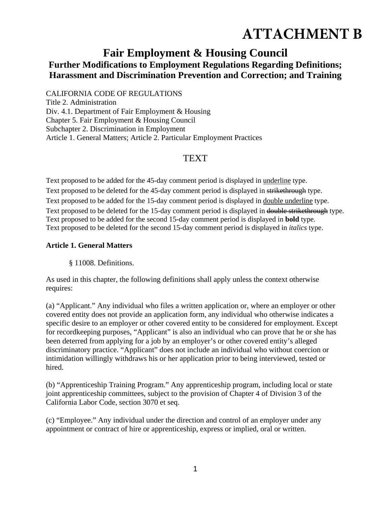# **ATTACHMENT B**

## **Fair Employment & Housing Council Further Modifications to Employment Regulations Regarding Definitions; Harassment and Discrimination Prevention and Correction; and Training**

CALIFORNIA CODE OF REGULATIONS

Title 2. Administration Div. 4.1. Department of Fair Employment & Housing Chapter 5. Fair Employment & Housing Council Subchapter 2. Discrimination in Employment Article 1. General Matters; Article 2. Particular Employment Practices

## **TEXT**

Text proposed to be added for the 45-day comment period is displayed in underline type. Text proposed to be deleted for the 45-day comment period is displayed in strikethrough type. Text proposed to be added for the 15-day comment period is displayed in double underline type. Text proposed to be deleted for the 15-day comment period is displayed in double strikethrough type. Text proposed to be added for the second 15-day comment period is displayed in **bold** type. Text proposed to be deleted for the second 15-day comment period is displayed in *italics* type.

#### **Article 1. General Matters**

§ 11008. Definitions.

As used in this chapter, the following definitions shall apply unless the context otherwise requires:

(a) "Applicant." Any individual who files a written application or, where an employer or other covered entity does not provide an application form, any individual who otherwise indicates a specific desire to an employer or other covered entity to be considered for employment. Except for recordkeeping purposes, "Applicant" is also an individual who can prove that he or she has been deterred from applying for a job by an employer's or other covered entity's alleged discriminatory practice. "Applicant" does not include an individual who without coercion or intimidation willingly withdraws his or her application prior to being interviewed, tested or hired.

(b) "Apprenticeship Training Program." Any apprenticeship program, including local or state joint apprenticeship committees, subject to the provision of Chapter 4 of Division 3 of the California Labor Code, section 3070 et seq.

(c) "Employee." Any individual under the direction and control of an employer under any appointment or contract of hire or apprenticeship, express or implied, oral or written.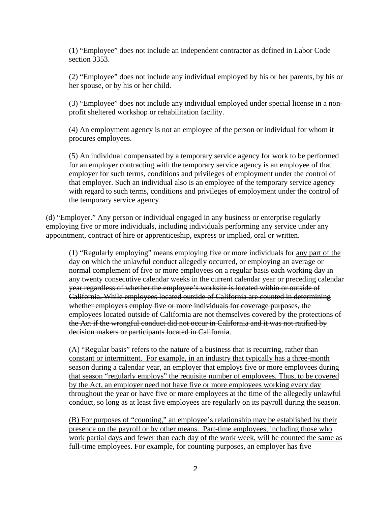(1) "Employee" does not include an independent contractor as defined in Labor Code section 3353.

(2) "Employee" does not include any individual employed by his or her parents, by his or her spouse, or by his or her child.

(3) "Employee" does not include any individual employed under special license in a nonprofit sheltered workshop or rehabilitation facility.

(4) An employment agency is not an employee of the person or individual for whom it procures employees.

(5) An individual compensated by a temporary service agency for work to be performed for an employer contracting with the temporary service agency is an employee of that employer for such terms, conditions and privileges of employment under the control of that employer. Such an individual also is an employee of the temporary service agency with regard to such terms, conditions and privileges of employment under the control of the temporary service agency.

(d) "Employer." Any person or individual engaged in any business or enterprise regularly employing five or more individuals, including individuals performing any service under any appointment, contract of hire or apprenticeship, express or implied, oral or written.

(1) "Regularly employing" means employing five or more individuals for any part of the day on which the unlawful conduct allegedly occurred, or employing an average or normal complement of five or more employees on a regular basis each working day in any twenty consecutive calendar weeks in the current calendar year or preceding calendar year regardless of whether the employee's worksite is located within or outside of California. While employees located outside of California are counted in determining whether employers employ five or more individuals for coverage purposes, the employees located outside of California are not themselves covered by the protections of the Act if the wrongful conduct did not occur in California and it was not ratified by decision makers or participants located in California.

(A) "Regular basis" refers to the nature of a business that is recurring, rather than constant or intermittent. For example, in an industry that typically has a three-month season during a calendar year, an employer that employs five or more employees during that season "regularly employs" the requisite number of employees. Thus, to be covered by the Act, an employer need not have five or more employees working every day throughout the year or have five or more employees at the time of the allegedly unlawful conduct, so long as at least five employees are regularly on its payroll during the season.

(B) For purposes of "counting," an employee's relationship may be established by their presence on the payroll or by other means. Part-time employees, including those who work partial days and fewer than each day of the work week, will be counted the same as full-time employees. For example, for counting purposes, an employer has five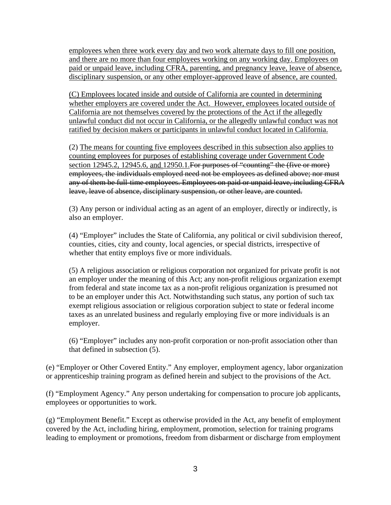employees when three work every day and two work alternate days to fill one position, and there are no more than four employees working on any working day. Employees on paid or unpaid leave, including CFRA, parenting, and pregnancy leave, leave of absence, disciplinary suspension, or any other employer-approved leave of absence, are counted.

(C) Employees located inside and outside of California are counted in determining whether employers are covered under the Act. However, employees located outside of California are not themselves covered by the protections of the Act if the allegedly unlawful conduct did not occur in California, or the allegedly unlawful conduct was not ratified by decision makers or participants in unlawful conduct located in California.

(2) The means for counting five employees described in this subsection also applies to counting employees for purposes of establishing coverage under Government Code section 12945.2, 12945.6, and 12950.1. For purposes of "counting" the (five or more) employees, the individuals employed need not be employees as defined above; nor must any of them be full-time employees. Employees on paid or unpaid leave, including CFRA leave, leave of absence, disciplinary suspension, or other leave, are counted.

(3) Any person or individual acting as an agent of an employer, directly or indirectly, is also an employer.

(4) "Employer" includes the State of California, any political or civil subdivision thereof, counties, cities, city and county, local agencies, or special districts, irrespective of whether that entity employs five or more individuals.

(5) A religious association or religious corporation not organized for private profit is not an employer under the meaning of this Act; any non-profit religious organization exempt from federal and state income tax as a non-profit religious organization is presumed not to be an employer under this Act. Notwithstanding such status, any portion of such tax exempt religious association or religious corporation subject to state or federal income taxes as an unrelated business and regularly employing five or more individuals is an employer.

(6) "Employer" includes any non-profit corporation or non-profit association other than that defined in subsection (5).

(e) "Employer or Other Covered Entity." Any employer, employment agency, labor organization or apprenticeship training program as defined herein and subject to the provisions of the Act.

(f) "Employment Agency." Any person undertaking for compensation to procure job applicants, employees or opportunities to work.

(g) "Employment Benefit." Except as otherwise provided in the Act, any benefit of employment covered by the Act, including hiring, employment, promotion, selection for training programs leading to employment or promotions, freedom from disbarment or discharge from employment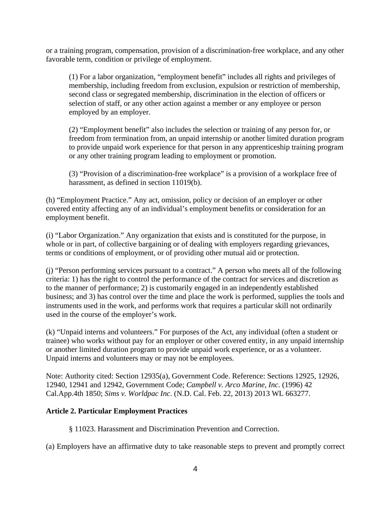or a training program, compensation, provision of a discrimination-free workplace, and any other favorable term, condition or privilege of employment.

(1) For a labor organization, "employment benefit" includes all rights and privileges of membership, including freedom from exclusion, expulsion or restriction of membership, second class or segregated membership, discrimination in the election of officers or selection of staff, or any other action against a member or any employee or person employed by an employer.

(2) "Employment benefit" also includes the selection or training of any person for, or freedom from termination from, an unpaid internship or another limited duration program to provide unpaid work experience for that person in any apprenticeship training program or any other training program leading to employment or promotion.

(3) "Provision of a discrimination-free workplace" is a provision of a workplace free of harassment, as defined in section 11019(b).

(h) "Employment Practice." Any act, omission, policy or decision of an employer or other covered entity affecting any of an individual's employment benefits or consideration for an employment benefit.

(i) "Labor Organization." Any organization that exists and is constituted for the purpose, in whole or in part, of collective bargaining or of dealing with employers regarding grievances, terms or conditions of employment, or of providing other mutual aid or protection.

(j) "Person performing services pursuant to a contract." A person who meets all of the following criteria: 1) has the right to control the performance of the contract for services and discretion as to the manner of performance; 2) is customarily engaged in an independently established business; and 3) has control over the time and place the work is performed, supplies the tools and instruments used in the work, and performs work that requires a particular skill not ordinarily used in the course of the employer's work.

(k) "Unpaid interns and volunteers." For purposes of the Act, any individual (often a student or trainee) who works without pay for an employer or other covered entity, in any unpaid internship or another limited duration program to provide unpaid work experience, or as a volunteer. Unpaid interns and volunteers may or may not be employees.

Note: Authority cited: Section 12935(a), Government Code. Reference: Sections 12925, 12926, 12940, 12941 and 12942, Government Code; *Campbell v. Arco Marine, Inc*. (1996) 42 Cal.App.4th 1850; *Sims v. Worldpac Inc*. (N.D. Cal. Feb. 22, 2013) 2013 WL 663277.

### **Article 2. Particular Employment Practices**

§ 11023. Harassment and Discrimination Prevention and Correction.

(a) Employers have an affirmative duty to take reasonable steps to prevent and promptly correct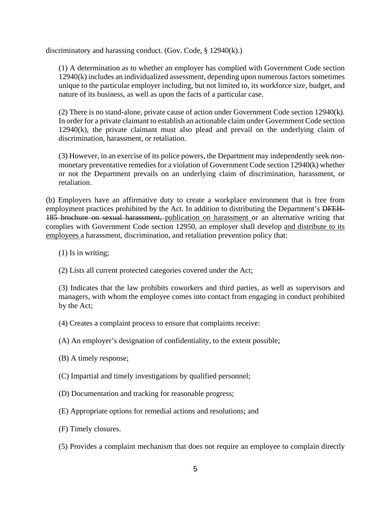discriminatory and harassing conduct. (Gov. Code, § 12940(k).)

(1) A determination as to whether an employer has complied with Government Code section 12940(k) includes an individualized assessment, depending upon numerous factors sometimes unique to the particular employer including, but not limited to, its workforce size, budget, and nature of its business, as well as upon the facts of a particular case.

(2) There is no stand-alone, private cause of action under Government Code section 12940(k). In order for a private claimant to establish an actionable claim under Government Code section 12940(k), the private claimant must also plead and prevail on the underlying claim of discrimination, harassment, or retaliation.

(3) However, in an exercise of its police powers, the Department may independently seek nonmonetary preventative remedies for a violation of Government Code section 12940(k) whether or not the Department prevails on an underlying claim of discrimination, harassment, or retaliation.

(b) Employers have an affirmative duty to create a workplace environment that is free from employment practices prohibited by the Act. In addition to distributing the Department's DFEH-185 brochure on sexual harassment, publication on harassment or an alternative writing that complies with Government Code section 12950, an employer shall develop and distribute to its employees a harassment, discrimination, and retaliation prevention policy that:

(1) Is in writing;

(2) Lists all current protected categories covered under the Act;

(3) Indicates that the law prohibits coworkers and third parties, as well as supervisors and managers, with whom the employee comes into contact from engaging in conduct prohibited by the Act;

- (4) Creates a complaint process to ensure that complaints receive:
- (A) An employer's designation of confidentiality, to the extent possible;
- (B) A timely response;
- (C) Impartial and timely investigations by qualified personnel;
- (D) Documentation and tracking for reasonable progress;
- (E) Appropriate options for remedial actions and resolutions; and
- (F) Timely closures.
- (5) Provides a complaint mechanism that does not require an employee to complain directly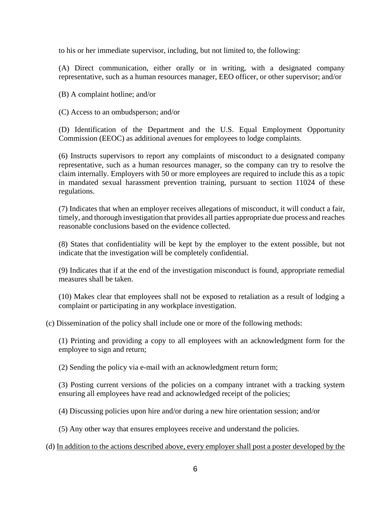to his or her immediate supervisor, including, but not limited to, the following:

(A) Direct communication, either orally or in writing, with a designated company representative, such as a human resources manager, EEO officer, or other supervisor; and/or

(B) A complaint hotline; and/or

(C) Access to an ombudsperson; and/or

(D) Identification of the Department and the U.S. Equal Employment Opportunity Commission (EEOC) as additional avenues for employees to lodge complaints.

(6) Instructs supervisors to report any complaints of misconduct to a designated company representative, such as a human resources manager, so the company can try to resolve the claim internally. Employers with 50 or more employees are required to include this as a topic in mandated sexual harassment prevention training, pursuant to section 11024 of these regulations.

(7) Indicates that when an employer receives allegations of misconduct, it will conduct a fair, timely, and thorough investigation that provides all parties appropriate due process and reaches reasonable conclusions based on the evidence collected.

(8) States that confidentiality will be kept by the employer to the extent possible, but not indicate that the investigation will be completely confidential.

(9) Indicates that if at the end of the investigation misconduct is found, appropriate remedial measures shall be taken.

(10) Makes clear that employees shall not be exposed to retaliation as a result of lodging a complaint or participating in any workplace investigation.

(c) Dissemination of the policy shall include one or more of the following methods:

(1) Printing and providing a copy to all employees with an acknowledgment form for the employee to sign and return;

(2) Sending the policy via e-mail with an acknowledgment return form;

(3) Posting current versions of the policies on a company intranet with a tracking system ensuring all employees have read and acknowledged receipt of the policies;

(4) Discussing policies upon hire and/or during a new hire orientation session; and/or

(5) Any other way that ensures employees receive and understand the policies.

(d) In addition to the actions described above, every employer shall post a poster developed by the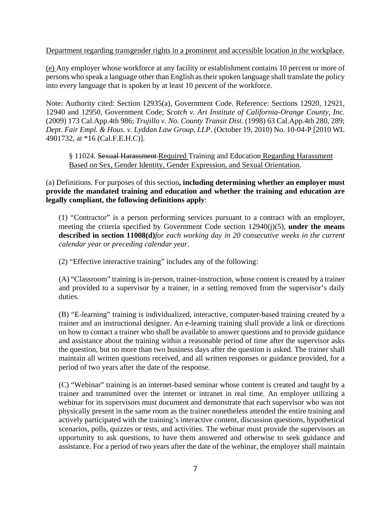Department regarding transgender rights in a prominent and accessible location in the workplace.

(e) Any employer whose workforce at any facility or establishment contains 10 percent or more of persons who speak a language other than English as their spoken language shall translate the policy into every language that is spoken by at least 10 percent of the workforce.

Note: Authority cited: Section 12935(a), Government Code. Reference: Sections 12920, 12921, 12940 and 12950, Government Code; *Scotch v. Art Institute of California-Orange County, Inc.* (2009) 173 Cal.App.4th 986; *Trujillo v. No. County Transit Dist.* (1998) 63 Cal.App.4th 280, 289; *Dept. Fair Empl. & Hous. v. Lyddan Law Group, LLP*. (October 19, 2010) No. 10-04-P [2010 WL 4901732, at \*16 (Cal.F.E.H.C)].

§ 11024. Sexual Harassment-Required Training and Education Regarding Harassment Based on Sex, Gender Identity, Gender Expression, and Sexual Orientation.

(a) Definitions. For purposes of this section**, including determining whether an employer must provide the mandated training and education and whether the training and education are legally compliant, the following definitions apply**:

(1) "Contractor" is a person performing services pursuant to a contract with an employer, meeting the criteria specified by Government Code section 12940(j)(5), **under the means described in section 11008(d)***for each working day in 20 consecutive weeks in the current calendar year or preceding calendar year*.

(2) "Effective interactive training" includes any of the following:

(A) "Classroom" training is in-person, trainer-instruction, whose content is created by a trainer and provided to a supervisor by a trainer, in a setting removed from the supervisor's daily duties.

(B) "E-learning" training is individualized, interactive, computer-based training created by a trainer and an instructional designer. An e-learning training shall provide a link or directions on how to contact a trainer who shall be available to answer questions and to provide guidance and assistance about the training within a reasonable period of time after the supervisor asks the question, but no more than two business days after the question is asked. The trainer shall maintain all written questions received, and all written responses or guidance provided, for a period of two years after the date of the response.

(C) "Webinar" training is an internet-based seminar whose content is created and taught by a trainer and transmitted over the internet or intranet in real time. An employer utilizing a webinar for its supervisors must document and demonstrate that each supervisor who was not physically present in the same room as the trainer nonetheless attended the entire training and actively participated with the training's interactive content, discussion questions, hypothetical scenarios, polls, quizzes or tests, and activities. The webinar must provide the supervisors an opportunity to ask questions, to have them answered and otherwise to seek guidance and assistance. For a period of two years after the date of the webinar, the employer shall maintain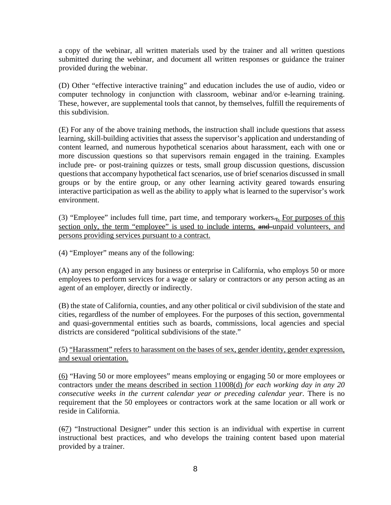a copy of the webinar, all written materials used by the trainer and all written questions submitted during the webinar, and document all written responses or guidance the trainer provided during the webinar.

(D) Other "effective interactive training" and education includes the use of audio, video or computer technology in conjunction with classroom, webinar and/or e-learning training. These, however, are supplemental tools that cannot, by themselves, fulfill the requirements of this subdivision.

(E) For any of the above training methods, the instruction shall include questions that assess learning, skill-building activities that assess the supervisor's application and understanding of content learned, and numerous hypothetical scenarios about harassment, each with one or more discussion questions so that supervisors remain engaged in the training. Examples include pre- or post-training quizzes or tests, small group discussion questions, discussion questions that accompany hypothetical fact scenarios, use of brief scenarios discussed in small groups or by the entire group, or any other learning activity geared towards ensuring interactive participation as well as the ability to apply what is learned to the supervisor's work environment.

(3) "Employee" includes full time, part time, and temporary workers..., For purposes of this section only, the term "employee" is used to include interns, and unpaid volunteers, and persons providing services pursuant to a contract.

(4) "Employer" means any of the following:

(A) any person engaged in any business or enterprise in California, who employs 50 or more employees to perform services for a wage or salary or contractors or any person acting as an agent of an employer, directly or indirectly.

(B) the state of California, counties, and any other political or civil subdivision of the state and cities, regardless of the number of employees. For the purposes of this section, governmental and quasi-governmental entities such as boards, commissions, local agencies and special districts are considered "political subdivisions of the state."

(5) "Harassment" refers to harassment on the bases of sex, gender identity, gender expression, and sexual orientation.

(6) "Having 50 or more employees" means employing or engaging 50 or more employees or contractors under the means described in section 11008(d) *for each working day in any 20 consecutive weeks in the current calendar year or preceding calendar year*. There is no requirement that the 50 employees or contractors work at the same location or all work or reside in California.

(67) "Instructional Designer" under this section is an individual with expertise in current instructional best practices, and who develops the training content based upon material provided by a trainer.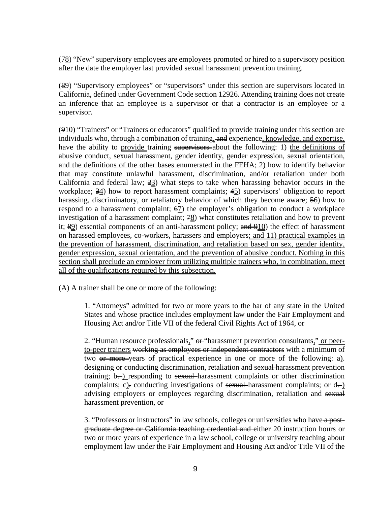(78) "New" supervisory employees are employees promoted or hired to a supervisory position after the date the employer last provided sexual harassment prevention training.

(89) "Supervisory employees" or "supervisors" under this section are supervisors located in California, defined under Government Code section 12926. Attending training does not create an inference that an employee is a supervisor or that a contractor is an employee or a supervisor.

(910) "Trainers" or "Trainers or educators" qualified to provide training under this section are individuals who, through a combination of training, and experience, knowledge, and expertise, have the ability to provide training supervisors about the following: 1) the definitions of abusive conduct, sexual harassment, gender identity, gender expression, sexual orientation, and the definitions of the other bases enumerated in the FEHA; 2) how to identify behavior that may constitute unlawful harassment, discrimination, and/or retaliation under both California and federal law;  $\frac{23}{2}$  what steps to take when harassing behavior occurs in the workplace;  $\frac{34}{2}$ ) how to report harassment complaints;  $45$ ) supervisors' obligation to report harassing, discriminatory, or retaliatory behavior of which they become aware;  $\frac{56}{20}$  how to respond to a harassment complaint;  $\epsilon$ <sup>7</sup>) the employer's obligation to conduct a workplace investigation of a harassment complaint;  $\frac{48}{3}$  what constitutes retaliation and how to prevent it;  $\frac{99}{2}$  essential components of an anti-harassment policy; and  $\frac{910}{2}$  the effect of harassment on harassed employees, co-workers, harassers and employers; and 11) practical examples in the prevention of harassment, discrimination, and retaliation based on sex, gender identity, gender expression, sexual orientation, and the prevention of abusive conduct. Nothing in this section shall preclude an employer from utilizing multiple trainers who, in combination, meet all of the qualifications required by this subsection.

(A) A trainer shall be one or more of the following:

1. "Attorneys" admitted for two or more years to the bar of any state in the United States and whose practice includes employment law under the Fair Employment and Housing Act and/or Title VII of the federal Civil Rights Act of 1964, or

2. "Human resource professionals,"  $\theta$  "harassment prevention consultants," or peerto-peer trainers working as employees or independent contractors with a minimum of two  $\theta$  more-years of practical experience in one or more of the following: a). designing or conducting discrimination, retaliation and sexual harassment prevention training;  $b$ —) responding to sexual harassment complaints or other discrimination complaints; c). conducting investigations of sexual harassment complaints; or  $d$ . advising employers or employees regarding discrimination, retaliation and sexual harassment prevention, or

3. "Professors or instructors" in law schools, colleges or universities who have a postgraduate degree or California teaching credential and either 20 instruction hours or two or more years of experience in a law school, college or university teaching about employment law under the Fair Employment and Housing Act and/or Title VII of the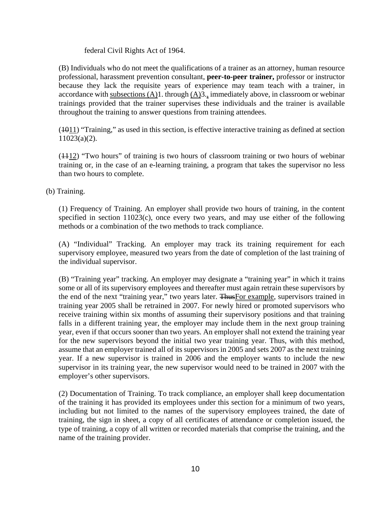federal Civil Rights Act of 1964.

(B) Individuals who do not meet the qualifications of a trainer as an attorney, human resource professional, harassment prevention consultant, **peer-to-peer trainer,** professor or instructor because they lack the requisite years of experience may team teach with a trainer, in accordance with subsections  $(A)1$ . through  $(A)3$ ., immediately above, in classroom or webinar trainings provided that the trainer supervises these individuals and the trainer is available throughout the training to answer questions from training attendees.

(1011) "Training," as used in this section, is effective interactive training as defined at section 11023(a)(2).

(1112) "Two hours" of training is two hours of classroom training or two hours of webinar training or, in the case of an e-learning training, a program that takes the supervisor no less than two hours to complete.

(b) Training.

(1) Frequency of Training. An employer shall provide two hours of training, in the content specified in section 11023(c), once every two years, and may use either of the following methods or a combination of the two methods to track compliance.

(A) "Individual" Tracking. An employer may track its training requirement for each supervisory employee, measured two years from the date of completion of the last training of the individual supervisor.

(B) "Training year" tracking. An employer may designate a "training year" in which it trains some or all of its supervisory employees and thereafter must again retrain these supervisors by the end of the next "training year," two years later. Thus For example, supervisors trained in training year 2005 shall be retrained in 2007. For newly hired or promoted supervisors who receive training within six months of assuming their supervisory positions and that training falls in a different training year, the employer may include them in the next group training year, even if that occurs sooner than two years. An employer shall not extend the training year for the new supervisors beyond the initial two year training year. Thus, with this method, assume that an employer trained all of its supervisors in 2005 and sets 2007 as the next training year. If a new supervisor is trained in 2006 and the employer wants to include the new supervisor in its training year, the new supervisor would need to be trained in 2007 with the employer's other supervisors.

(2) Documentation of Training. To track compliance, an employer shall keep documentation of the training it has provided its employees under this section for a minimum of two years, including but not limited to the names of the supervisory employees trained, the date of training, the sign in sheet, a copy of all certificates of attendance or completion issued, the type of training, a copy of all written or recorded materials that comprise the training, and the name of the training provider.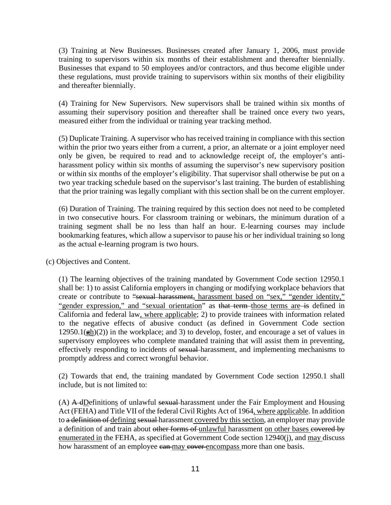(3) Training at New Businesses. Businesses created after January 1, 2006, must provide training to supervisors within six months of their establishment and thereafter biennially. Businesses that expand to 50 employees and/or contractors, and thus become eligible under these regulations, must provide training to supervisors within six months of their eligibility and thereafter biennially.

(4) Training for New Supervisors. New supervisors shall be trained within six months of assuming their supervisory position and thereafter shall be trained once every two years, measured either from the individual or training year tracking method.

(5) Duplicate Training. A supervisor who has received training in compliance with this section within the prior two years either from a current, a prior, an alternate or a joint employer need only be given, be required to read and to acknowledge receipt of, the employer's antiharassment policy within six months of assuming the supervisor's new supervisory position or within six months of the employer's eligibility. That supervisor shall otherwise be put on a two year tracking schedule based on the supervisor's last training. The burden of establishing that the prior training was legally compliant with this section shall be on the current employer.

(6) Duration of Training. The training required by this section does not need to be completed in two consecutive hours. For classroom training or webinars, the minimum duration of a training segment shall be no less than half an hour. E-learning courses may include bookmarking features, which allow a supervisor to pause his or her individual training so long as the actual e-learning program is two hours.

(c) Objectives and Content.

(1) The learning objectives of the training mandated by Government Code section 12950.1 shall be: 1) to assist California employers in changing or modifying workplace behaviors that create or contribute to "sexual harassment, harassment based on "sex," "gender identity," "gender expression," and "sexual orientation" as that term those terms are is defined in California and federal law, where applicable; 2) to provide trainees with information related to the negative effects of abusive conduct (as defined in Government Code section  $12950.1(\frac{eh}{ed})(2)$ ) in the workplace; and 3) to develop, foster, and encourage a set of values in supervisory employees who complete mandated training that will assist them in preventing, effectively responding to incidents of sexual-harassment, and implementing mechanisms to promptly address and correct wrongful behavior.

(2) Towards that end, the training mandated by Government Code section 12950.1 shall include, but is not limited to:

 $(A)$  A dDefinitions of unlawful sexual-harassment under the Fair Employment and Housing Act (FEHA) and Title VII of the federal Civil Rights Act of 1964, where applicable. In addition to a definition of defining sexual harassment covered by this section, an employer may provide a definition of and train about other forms of unlawful harassment on other bases covered by enumerated in the FEHA, as specified at Government Code section 12940(j), and may discuss how harassment of an employee can may cover encompass more than one basis.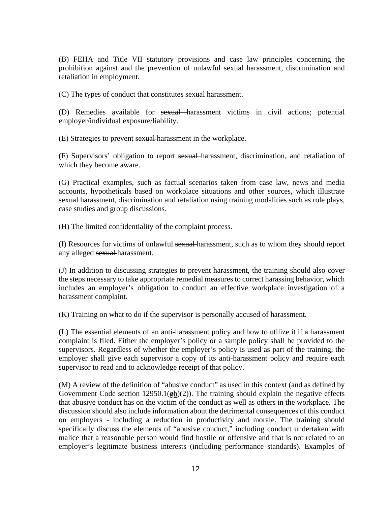(B) FEHA and Title VII statutory provisions and case law principles concerning the prohibition against and the prevention of unlawful sexual harassment, discrimination and retaliation in employment.

(C) The types of conduct that constitutes sexual harassment.

(D) Remedies available for sexual harassment victims in civil actions; potential employer/individual exposure/liability.

(E) Strategies to prevent sexual harassment in the workplace.

(F) Supervisors' obligation to report sexual harassment, discrimination, and retaliation of which they become aware.

(G) Practical examples, such as factual scenarios taken from case law, news and media accounts, hypotheticals based on workplace situations and other sources, which illustrate sexual harassment, discrimination and retaliation using training modalities such as role plays, case studies and group discussions.

(H) The limited confidentiality of the complaint process.

(I) Resources for victims of unlawful sexual harassment, such as to whom they should report any alleged sexual harassment.

(J) In addition to discussing strategies to prevent harassment, the training should also cover the steps necessary to take appropriate remedial measures to correct harassing behavior, which includes an employer's obligation to conduct an effective workplace investigation of a harassment complaint.

(K) Training on what to do if the supervisor is personally accused of harassment.

(L) The essential elements of an anti-harassment policy and how to utilize it if a harassment complaint is filed. Either the employer's policy or a sample policy shall be provided to the supervisors. Regardless of whether the employer's policy is used as part of the training, the employer shall give each supervisor a copy of its anti-harassment policy and require each supervisor to read and to acknowledge receipt of that policy.

(M) A review of the definition of "abusive conduct" as used in this context (and as defined by Government Code section 12950.1( $\frac{1}{2}$ h)(2)). The training should explain the negative effects that abusive conduct has on the victim of the conduct as well as others in the workplace. The discussion should also include information about the detrimental consequences of this conduct on employers - including a reduction in productivity and morale. The training should specifically discuss the elements of "abusive conduct," including conduct undertaken with malice that a reasonable person would find hostile or offensive and that is not related to an employer's legitimate business interests (including performance standards). Examples of